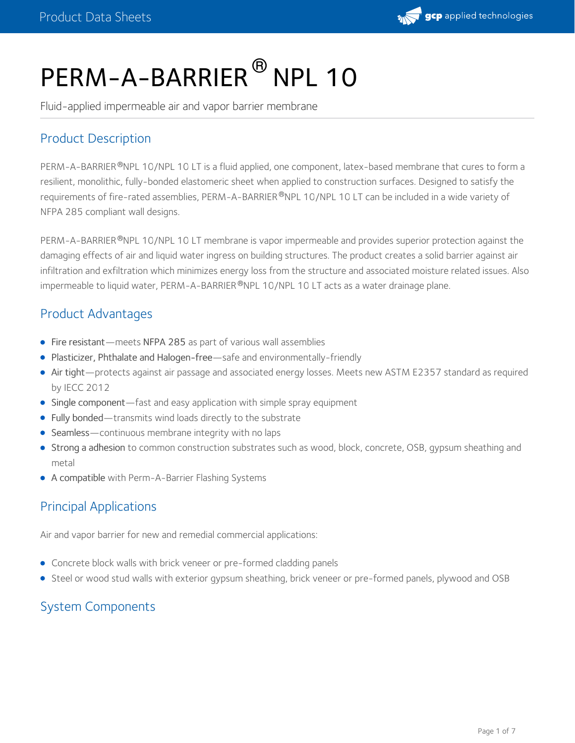

# PERM-A-BARRIER<sup>®</sup> NPL 10

Fluid-applied impermeable air and vapor barrier membrane

# Product Description

PERM-A-BARRIER®NPL 10/NPL 10 LT is a fluid applied, one component, latex-based membrane that cures to form a resilient, monolithic, fully-bonded elastomeric sheet when applied to construction surfaces. Designed to satisfy the requirements of fire-rated assemblies, PERM-A-BARRIER®NPL 10/NPL 10 LT can be included in a wide variety of NFPA 285 compliant wall designs.

PERM-A-BARRIER®NPL 10/NPL 10 LT membrane is vapor impermeable and provides superior protection against the damaging effects of air and liquid water ingress on building structures. The product creates a solid barrier against air infiltration and exfiltration which minimizes energy loss from the structure and associated moisture related issues. Also impermeable to liquid water, PERM-A-BARRIER®NPL 10/NPL 10 LT acts as a water drainage plane.

## Product Advantages

- Fire resistant—meets NFPA 285 as part of various wall assemblies
- Plasticizer, Phthalate and Halogen-free—safe and environmentally-friendly
- Air tight—protects against air passage and associated energy losses. Meets new ASTM E2357 standard as required by IECC 2012
- Single component—fast and easy application with simple spray equipment
- Fully bonded—transmits wind loads directly to the substrate
- Seamless—continuous membrane integrity with no laps
- Strong a adhesion to common construction substrates such as wood, block, concrete, OSB, gypsum sheathing and metal
- A compatible with Perm-A-Barrier Flashing Systems

# Principal Applications

Air and vapor barrier for new and remedial commercial applications:

- Concrete block walls with brick veneer or pre-formed cladding panels
- Steel or wood stud walls with exterior gypsum sheathing, brick veneer or pre-formed panels, plywood and OSB

## System Components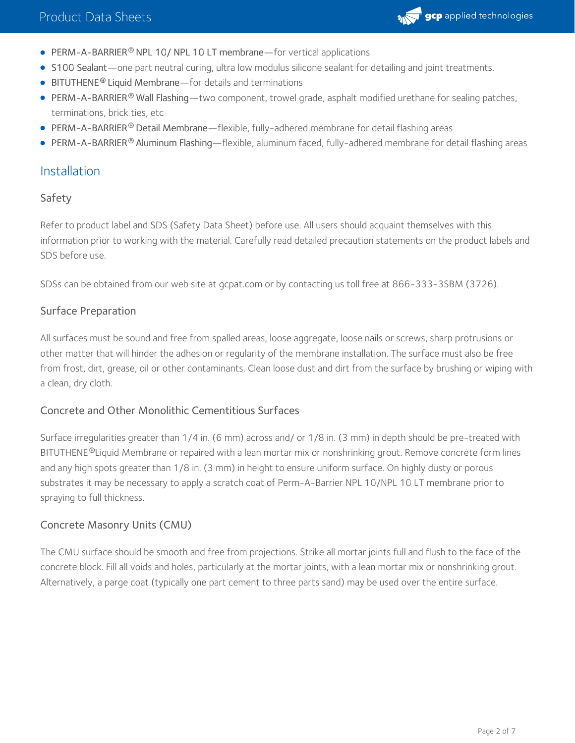

- $\bullet$  PERM-A-BARRIER<sup>®</sup> NPL 10/ NPL 10 LT membrane—for vertical applications
- S100 Sealant—one part neutral curing, ultra low modulus silicone sealant for detailing and joint treatments.
- **BITUTHENE<sup>®</sup> Liquid Membrane**—for details and terminations
- PERM-A-BARRIER® Wall Flashing—two component, trowel grade, asphalt modified urethane for sealing patches, terminations, brick ties, etc
- PERM-A-BARRIER® Detail Membrane—flexible, fully-adhered membrane for detail flashing areas
- PERM-A-BARRIER® Aluminum Flashing—flexible, aluminum faced, fully-adhered membrane for detail flashing areas

## Installation

#### Safety

Refer to product label and SDS (Safety Data Sheet) before use. All users should acquaint themselves with this information prior to working with the material. Carefully read detailed precaution statements on the product labels and SDS before use.

SDSs can be obtained from our web site at gcpat.com or by contacting us toll free at 866-333-3SBM (3726).

#### Surface Preparation

All surfaces must be sound and free from spalled areas, loose aggregate, loose nails or screws, sharp protrusions or other matter that will hinder the adhesion or regularity of the membrane installation. The surface must also be free from frost, dirt, grease, oil or other contaminants. Clean loose dust and dirt from the surface by brushing or wiping with a clean, dry cloth.

#### Concrete and Other Monolithic Cementitious Surfaces

Surface irregularities greater than 1/4 in. (6 mm) across and/ or 1/8 in. (3 mm) in depth should be pre-treated with BITUTHENE®Liquid Membrane or repaired with a lean mortar mix or nonshrinking grout. Remove concrete form lines and any high spots greater than 1/8 in. (3 mm) in height to ensure uniform surface. On highly dusty or porous substrates it may be necessary to apply a scratch coat of Perm-A-Barrier NPL 10/NPL 10 LT membrane prior to spraying to full thickness.

#### Concrete Masonry Units (CMU)

The CMU surface should be smooth and free from projections. Strike all mortar joints full and flush to the face of the concrete block. Fill all voids and holes, particularly at the mortar joints, with a lean mortar mix or nonshrinking grout. Alternatively, a parge coat (typically one part cement to three parts sand) may be used over the entire surface.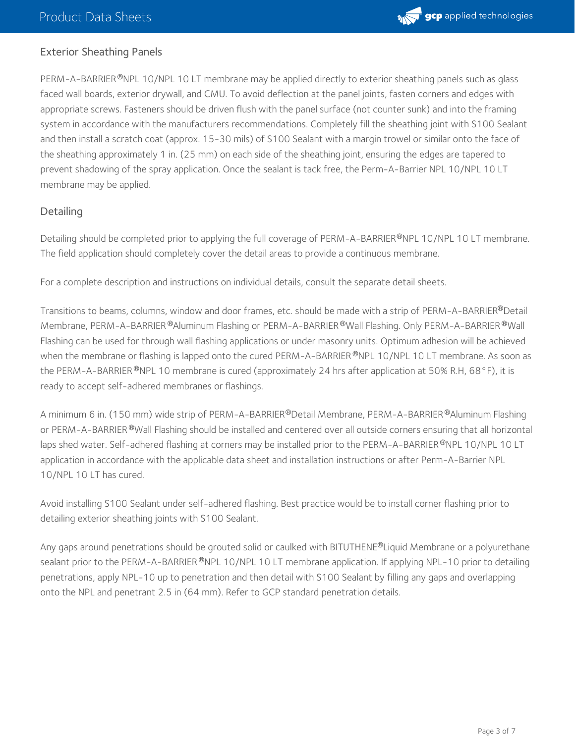

#### Exterior Sheathing Panels

PERM-A-BARRIER®NPL 10/NPL 10 LT membrane may be applied directly to exterior sheathing panels such as glass faced wall boards, exterior drywall, and CMU. To avoid deflection at the panel joints, fasten corners and edges with appropriate screws. Fasteners should be driven flush with the panel surface (not counter sunk) and into the framing system in accordance with the manufacturers recommendations. Completely fill the sheathing joint with S100 Sealant and then install a scratch coat (approx. 15-30 mils) of S100 Sealant with a margin trowel or similar onto the face of the sheathing approximately 1 in. (25 mm) on each side of the sheathing joint, ensuring the edges are tapered to prevent shadowing of the spray application. Once the sealant is tack free, the Perm-A-Barrier NPL 10/NPL 10 LT membrane may be applied.

#### **Detailing**

Detailing should be completed prior to applying the full coverage of PERM-A-BARRIER®NPL 10/NPL 10 LT membrane. The field application should completely cover the detail areas to provide a continuous membrane.

For a complete description and instructions on individual details, consult the separate detail sheets.

Transitions to beams, columns, window and door frames, etc. should be made with a strip of PERM-A-BARRIER®Detail Membrane, PERM-A-BARRIER ®Aluminum Flashing or PERM-A-BARRIER ®Wall Flashing. Only PERM-A-BARRIER ®Wall Flashing can be used for through wall flashing applications or under masonry units. Optimum adhesion will be achieved when the membrane or flashing is lapped onto the cured PERM-A-BARRIER®NPL 10/NPL 10 LT membrane. As soon as the PERM-A-BARRIER®NPL 10 membrane is cured (approximately 24 hrs after application at 50% R.H, 68°F), it is ready to accept self-adhered membranes or flashings.

A minimum 6 in. (150 mm) wide strip of PERM-A-BARRIER®Detail Membrane, PERM-A-BARRIER®Aluminum Flashing or PERM-A-BARRIER®Wall Flashing should be installed and centered over all outside corners ensuring that all horizontal laps shed water. Self-adhered flashing at corners may be installed prior to the PERM-A-BARRIER®NPL 10/NPL 10 LT application in accordance with the applicable data sheet and installation instructions or after Perm-A-Barrier NPL 10/NPL 10 LT has cured.

Avoid installing S100 Sealant under self-adhered flashing. Best practice would be to install corner flashing prior to detailing exterior sheathing joints with S100 Sealant.

Any gaps around penetrations should be grouted solid or caulked with BITUTHENE®Liquid Membrane or a polyurethane sealant prior to the PERM-A-BARRIER®NPL 10/NPL 10 LT membrane application. If applying NPL-10 prior to detailing penetrations, apply NPL-10 up to penetration and then detail with S100 Sealant by filling any gaps and overlapping onto the NPL and penetrant 2.5 in (64 mm). Refer to GCP standard penetration details.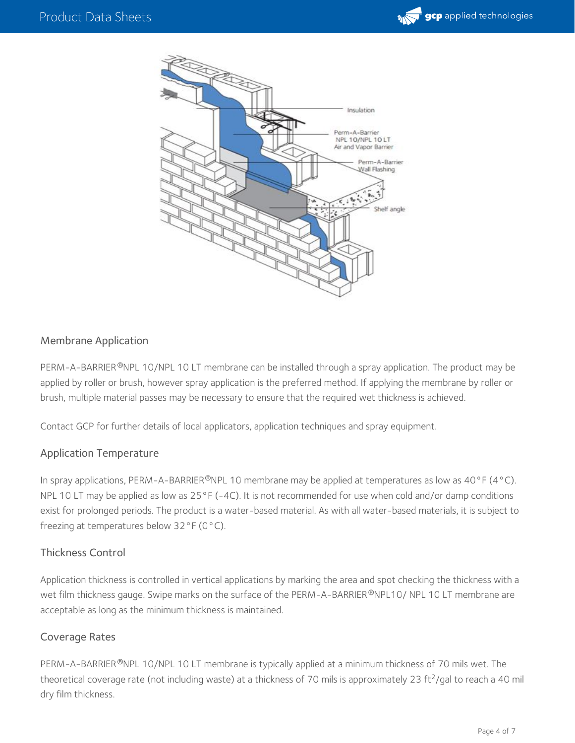



#### Membrane Application

PERM-A-BARRIER®NPL 10/NPL 10 LT membrane can be installed through a spray application. The product may be applied by roller or brush, however spray application is the preferred method. If applying the membrane by roller or brush, multiple material passes may be necessary to ensure that the required wet thickness is achieved.

Contact GCP for further details of local applicators, application techniques and spray equipment.

#### Application Temperature

In spray applications, PERM-A-BARRIER®NPL 10 membrane may be applied at temperatures as low as 40°F (4°C). NPL 10 LT may be applied as low as 25°F (-4C). It is not recommended for use when cold and/or damp conditions exist for prolonged periods. The product is a water-based material. As with all water-based materials, it is subject to freezing at temperatures below 32°F (0°C).

#### Thickness Control

Application thickness is controlled in vertical applications by marking the area and spot checking the thickness with a wet film thickness gauge. Swipe marks on the surface of the PERM-A-BARRIER ®NPL10/ NPL 10 LT membrane are acceptable as long as the minimum thickness is maintained.

#### Coverage Rates

PERM-A-BARRIER®NPL 10/NPL 10 LT membrane is typically applied at a minimum thickness of 70 mils wet. The theoretical coverage rate (not including waste) at a thickness of 70 mils is approximately 23 ft<sup>2</sup>/gal to reach a 40 mil dry film thickness.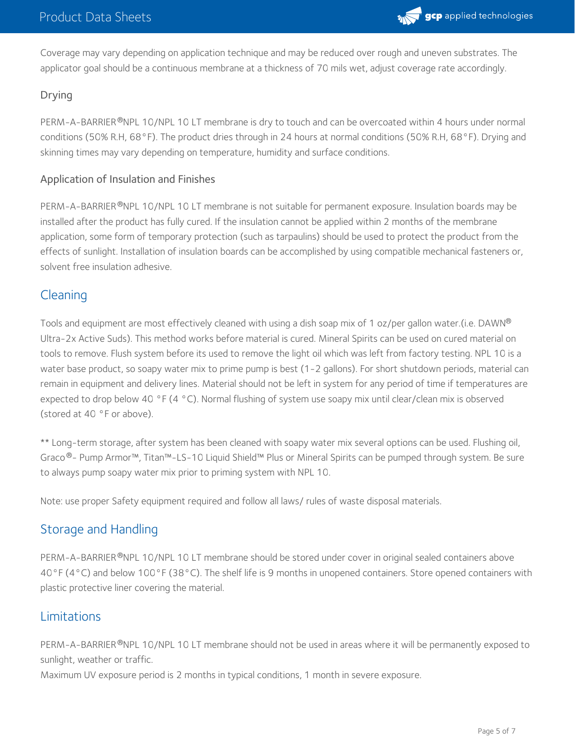

Coverage may vary depending on application technique and may be reduced over rough and uneven substrates. The applicator goal should be a continuous membrane at a thickness of 70 mils wet, adjust coverage rate accordingly.

## Drying

PERM-A-BARRIER®NPL 10/NPL 10 LT membrane is dry to touch and can be overcoated within 4 hours under normal conditions (50% R.H, 68°F). The product dries through in 24 hours at normal conditions (50% R.H, 68°F). Drying and skinning times may vary depending on temperature, humidity and surface conditions.

### Application of Insulation and Finishes

PERM-A-BARRIER®NPL 10/NPL 10 LT membrane is not suitable for permanent exposure. Insulation boards may be installed after the product has fully cured. If the insulation cannot be applied within 2 months of the membrane application, some form of temporary protection (such as tarpaulins) should be used to protect the product from the effects of sunlight. Installation of insulation boards can be accomplished by using compatible mechanical fasteners or, solvent free insulation adhesive.

## Cleaning

Tools and equipment are most effectively cleaned with using a dish soap mix of 1 oz/per gallon water.(i.e. DAWN ® Ultra-2x Active Suds). This method works before material is cured. Mineral Spirits can be used on cured material on tools to remove. Flush system before its used to remove the light oil which was left from factory testing. NPL 10 is a water base product, so soapy water mix to prime pump is best (1-2 gallons). For short shutdown periods, material can remain in equipment and delivery lines. Material should not be left in system for any period of time if temperatures are expected to drop below 40 °F (4 °C). Normal flushing of system use soapy mix until clear/clean mix is observed (stored at 40 °F or above).

\*\* Long-term storage, after system has been cleaned with soapy water mix several options can be used. Flushing oil, Graco®- Pump Armor™, Titan™-LS-10 Liquid Shield™ Plus or Mineral Spirits can be pumped through system. Be sure to always pump soapy water mix prior to priming system with NPL 10.

Note: use proper Safety equipment required and follow all laws/ rules of waste disposal materials.

# Storage and Handling

PERM-A-BARRIER®NPL 10/NPL 10 LT membrane should be stored under cover in original sealed containers above 40°F (4°C) and below 100°F (38°C). The shelf life is 9 months in unopened containers. Store opened containers with plastic protective liner covering the material.

## Limitations

PERM-A-BARRIER®NPL 10/NPL 10 LT membrane should not be used in areas where it will be permanently exposed to sunlight, weather or traffic.

Maximum UV exposure period is 2 months in typical conditions, 1 month in severe exposure.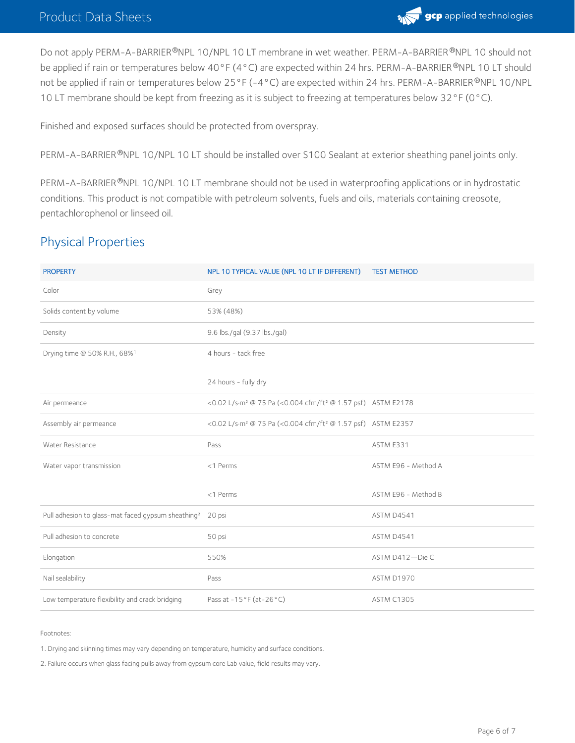

Do not apply PERM-A-BARRIER®NPL 10/NPL 10 LT membrane in wet weather. PERM-A-BARRIER®NPL 10 should not be applied if rain or temperatures below 40°F (4°C) are expected within 24 hrs. PERM-A-BARRIER®NPL 10 LT should not be applied if rain or temperatures below 25°F (-4°C) are expected within 24 hrs. PERM-A-BARRIER®NPL 10/NPL 10 LT membrane should be kept from freezing as it is subject to freezing at temperatures below 32°F (0°C).

Finished and exposed surfaces should be protected from overspray.

PERM-A-BARRIER®NPL 10/NPL 10 LT should be installed over S100 Sealant at exterior sheathing panel joints only.

PERM-A-BARRIER®NPL 10/NPL 10 LT membrane should not be used in waterproofing applications or in hydrostatic conditions. This product is not compatible with petroleum solvents, fuels and oils, materials containing creosote, pentachlorophenol or linseed oil.

# Physical Properties

| <b>PROPERTY</b>                                                | NPL 10 TYPICAL VALUE (NPL 10 LT IF DIFFERENT)                                       | <b>TEST METHOD</b>  |
|----------------------------------------------------------------|-------------------------------------------------------------------------------------|---------------------|
| Color                                                          | Grey                                                                                |                     |
| Solids content by volume                                       | 53% (48%)                                                                           |                     |
| Density                                                        | 9.6 lbs./gal (9.37 lbs./gal)                                                        |                     |
| Drying time @ 50% R.H., 68%1                                   | 4 hours - tack free                                                                 |                     |
|                                                                | 24 hours - fully dry                                                                |                     |
| Air permeance                                                  | <0.02 L/s·m <sup>2</sup> @ 75 Pa (<0.004 cfm/ft <sup>2</sup> @ 1.57 psf) ASTM E2178 |                     |
| Assembly air permeance                                         | <0.02 L/s·m <sup>2</sup> @ 75 Pa (<0.004 cfm/ft <sup>2</sup> @ 1.57 psf) ASTM E2357 |                     |
| Water Resistance                                               | Pass                                                                                | ASTM E331           |
| Water vapor transmission                                       | <1 Perms                                                                            | ASTM E96 - Method A |
|                                                                | <1 Perms                                                                            | ASTM E96 - Method B |
| Pull adhesion to glass-mat faced gypsum sheathing <sup>2</sup> | 20 psi                                                                              | ASTM D4541          |
| Pull adhesion to concrete                                      | 50 psi                                                                              | ASTM D4541          |
| Elongation                                                     | 550%                                                                                | ASTM D412-Die C     |
| Nail sealability                                               | Pass                                                                                | ASTM D1970          |
| Low temperature flexibility and crack bridging                 | Pass at $-15^{\circ}$ F (at $-26^{\circ}$ C)                                        | <b>ASTM C1305</b>   |

Footnotes:

1. Drying and skinning times may vary depending on temperature, humidity and surface conditions.

2. Failure occurs when glass facing pulls away from gypsum core Lab value, field results may vary.